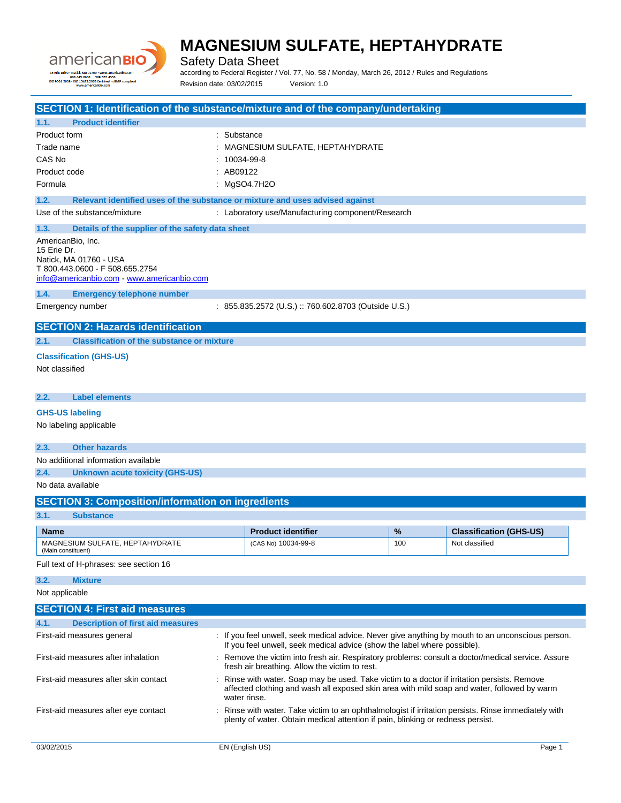

Safety Data Sheet

according to Federal Register / Vol. 77, No. 58 / Monday, March 26, 2012 / Rules and Regulations Revision date: 03/02/2015 Version: 1.0

**SECTION 1: Identification of the substance/mixture and of the company/undertaking 1.1. Product identifier** Product form : Substance : Substance Trade name  $\qquad \qquad : \qquad \qquad$  MAGNESIUM SULFATE, HEPTAHYDRATE CAS No : 10034-99-8 Product code : AB09122 Formula : MgSO4.7H2O **1.2. Relevant identified uses of the substance or mixture and uses advised against** Use of the substance/mixture  $\cdot$  : Laboratory use/Manufacturing component/Research **1.3. Details of the supplier of the safety data sheet** AmericanBio, Inc. 15 Erie Dr. Natick, MA 01760 - USA T 800.443.0600 - F 508.655.2754 [info@americanbio.com](mailto:info@americanbio.com) - <www.americanbio.com> **1.4. Emergency telephone number** Emergency number : 855.835.2572 (U.S.) :: 760.602.8703 (Outside U.S.) **SECTION 2: Hazards identification 2.1. Classification of the substance or mixture Classification (GHS-US)** Not classified **2.2. Label elements GHS-US labeling** No labeling applicable **2.3. Other hazards** No additional information available **2.4. Unknown acute toxicity (GHS-US)** No data available **SECTION 3: Composition/information on ingredients 3.1. Substance Name Product identifier 1989 12 Classification (GHS-US) Product identifier 1989 12 Classification (GHS-US)** MAGNESIUM SULFATE, HEPTAHYDRATE (Main constituent) (CAS No) 10034-99-8 100 100 Not classified Full text of H-phrases: see section 16 **3.2. Mixture** Not applicable **SECTION 4: First aid measures 4.1. Description of first aid measures** First-aid measures general **interpretatal constant of the interpretatal**: If you feel unwell, seek medical advice. Never give anything by mouth to an unconscious person. If you feel unwell, seek medical advice (show the label where possible). First-aid measures after inhalation : Remove the victim into fresh air. Respiratory problems: consult a doctor/medical service. Assure fresh air breathing. Allow the victim to rest.

First-aid measures after skin contact : Rinse with water. Soap may be used. Take victim to a doctor if irritation persists. Remove affected clothing and wash all exposed skin area with mild soap and water, followed by warm water rinse. First-aid measures after eye contact : Rinse with water. Take victim to an ophthalmologist if irritation persists. Rinse immediately with

plenty of water. Obtain medical attention if pain, blinking or redness persist.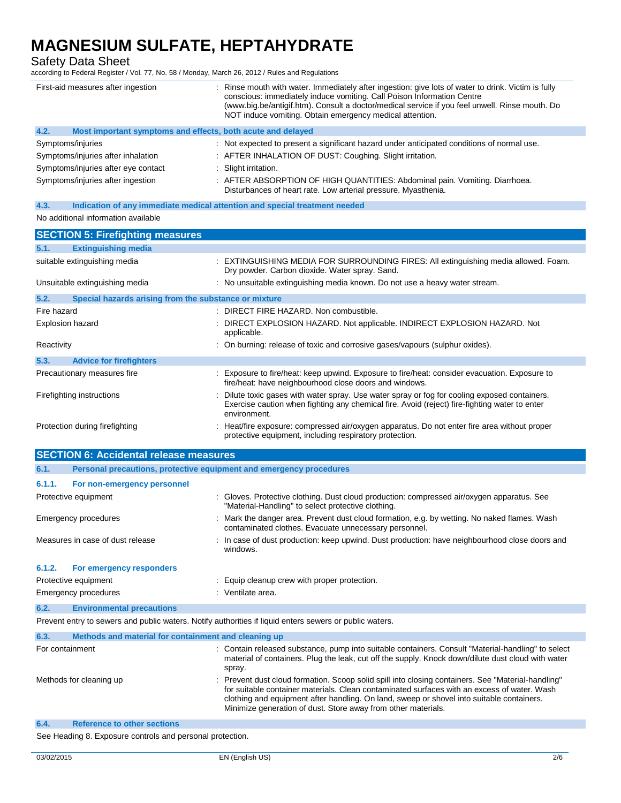Safety Data Sheet

according to Federal Register / Vol. 77, No. 58 / Monday, March 26, 2012 / Rules and Regulations

| First-aid measures after ingestion  |                                                             | : Rinse mouth with water. Immediately after ingestion: give lots of water to drink. Victim is fully<br>conscious: immediately induce vomiting. Call Poison Information Centre<br>(www.big.be/antigif.htm). Consult a doctor/medical service if you feel unwell. Rinse mouth. Do<br>NOT induce vomiting. Obtain emergency medical attention. |
|-------------------------------------|-------------------------------------------------------------|---------------------------------------------------------------------------------------------------------------------------------------------------------------------------------------------------------------------------------------------------------------------------------------------------------------------------------------------|
| 4.2.                                | Most important symptoms and effects, both acute and delayed |                                                                                                                                                                                                                                                                                                                                             |
| Symptoms/injuries                   |                                                             | : Not expected to present a significant hazard under anticipated conditions of normal use.                                                                                                                                                                                                                                                  |
| Symptoms/injuries after inhalation  |                                                             | : AFTER INHALATION OF DUST: Coughing. Slight irritation.                                                                                                                                                                                                                                                                                    |
| Symptoms/injuries after eye contact |                                                             | : Slight irritation.                                                                                                                                                                                                                                                                                                                        |
| Symptoms/injuries after ingestion   |                                                             | : AFTER ABSORPTION OF HIGH QUANTITIES: Abdominal pain. Vomiting. Diarrhoea.<br>Disturbances of heart rate. Low arterial pressure. Myasthenia.                                                                                                                                                                                               |

**4.3. Indication of any immediate medical attention and special treatment needed**

### No additional information available

|                  | <b>SECTION 5: Firefighting measures</b>               |                                                                                                                                                                                                                |
|------------------|-------------------------------------------------------|----------------------------------------------------------------------------------------------------------------------------------------------------------------------------------------------------------------|
| 5.1.             | <b>Extinguishing media</b>                            |                                                                                                                                                                                                                |
|                  | suitable extinguishing media                          | : EXTINGUISHING MEDIA FOR SURROUNDING FIRES: All extinguishing media allowed. Foam.<br>Dry powder. Carbon dioxide. Water spray. Sand.                                                                          |
|                  | Unsuitable extinguishing media                        | : No unsuitable extinguishing media known. Do not use a heavy water stream.                                                                                                                                    |
| 5.2.             | Special hazards arising from the substance or mixture |                                                                                                                                                                                                                |
| Fire hazard      |                                                       | : DIRECT FIRE HAZARD. Non combustible.                                                                                                                                                                         |
| Explosion hazard |                                                       | : DIRECT EXPLOSION HAZARD. Not applicable. INDIRECT EXPLOSION HAZARD. Not<br>applicable.                                                                                                                       |
| Reactivity       |                                                       | : On burning: release of toxic and corrosive gases/vapours (sulphur oxides).                                                                                                                                   |
| 5.3.             | <b>Advice for firefighters</b>                        |                                                                                                                                                                                                                |
|                  | Precautionary measures fire                           | : Exposure to fire/heat: keep upwind. Exposure to fire/heat: consider evacuation. Exposure to<br>fire/heat: have neighbourhood close doors and windows.                                                        |
|                  | Firefighting instructions                             | : Dilute toxic gases with water spray. Use water spray or fog for cooling exposed containers.<br>Exercise caution when fighting any chemical fire. Avoid (reject) fire-fighting water to enter<br>environment. |
|                  | Protection during firefighting                        | : Heat/fire exposure: compressed air/oxygen apparatus. Do not enter fire area without proper<br>protective equipment, including respiratory protection.                                                        |

|                      | <b>SECTION 6: Accidental release measures</b>                       |                                                                                                                                                       |  |
|----------------------|---------------------------------------------------------------------|-------------------------------------------------------------------------------------------------------------------------------------------------------|--|
| 6.1.                 | Personal precautions, protective equipment and emergency procedures |                                                                                                                                                       |  |
| 6.1.1.               | For non-emergency personnel                                         |                                                                                                                                                       |  |
|                      | Protective equipment                                                | : Gloves. Protective clothing. Dust cloud production: compressed air/oxygen apparatus. See<br>"Material-Handling" to select protective clothing.      |  |
| Emergency procedures |                                                                     | : Mark the danger area. Prevent dust cloud formation, e.g. by wetting. No naked flames. Wash<br>contaminated clothes. Evacuate unnecessary personnel. |  |
|                      | Measures in case of dust release                                    | : In case of dust production: keep upwind. Dust production: have neighbourhood close doors and<br>windows.                                            |  |
| 6.1.2.               | For emergency responders                                            |                                                                                                                                                       |  |
| Protective equipment |                                                                     | : Equip cleanup crew with proper protection.                                                                                                          |  |
|                      | Emergency procedures                                                | : Ventilate area.                                                                                                                                     |  |
| 6.2.                 | <b>Environmental precautions</b>                                    |                                                                                                                                                       |  |
|                      |                                                                     |                                                                                                                                                       |  |

Prevent entry to sewers and public waters. Notify authorities if liquid enters sewers or public waters.

| 6.3.                    | Methods and material for containment and cleaning up |                                                                                                                                                                                                                                                                                                                                                                 |
|-------------------------|------------------------------------------------------|-----------------------------------------------------------------------------------------------------------------------------------------------------------------------------------------------------------------------------------------------------------------------------------------------------------------------------------------------------------------|
| For containment         |                                                      | : Contain released substance, pump into suitable containers. Consult "Material-handling" to select<br>material of containers. Plug the leak, cut off the supply. Knock down/dilute dust cloud with water<br>spray.                                                                                                                                              |
| Methods for cleaning up |                                                      | : Prevent dust cloud formation. Scoop solid spill into closing containers. See "Material-handling"<br>for suitable container materials. Clean contaminated surfaces with an excess of water. Wash<br>clothing and equipment after handling. On land, sweep or shovel into suitable containers.<br>Minimize generation of dust. Store away from other materials. |
| 6.4.                    | <b>Reference to other sections</b>                   |                                                                                                                                                                                                                                                                                                                                                                 |

See Heading 8. Exposure controls and personal protection.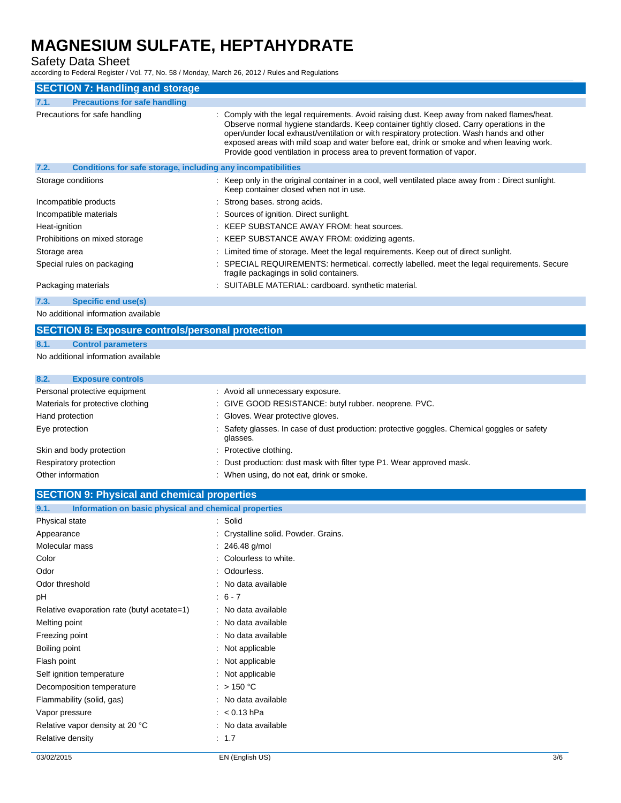Safety Data Sheet

according to Federal Register / Vol. 77, No. 58 / Monday, March 26, 2012 / Rules and Regulations

| <b>SECTION 7: Handling and storage</b>                               |                                                                                                                                                                                                                                                                                                                                                                                                                                                             |
|----------------------------------------------------------------------|-------------------------------------------------------------------------------------------------------------------------------------------------------------------------------------------------------------------------------------------------------------------------------------------------------------------------------------------------------------------------------------------------------------------------------------------------------------|
| <b>Precautions for safe handling</b><br>7.1.                         |                                                                                                                                                                                                                                                                                                                                                                                                                                                             |
| Precautions for safe handling                                        | : Comply with the legal requirements. Avoid raising dust. Keep away from naked flames/heat.<br>Observe normal hygiene standards. Keep container tightly closed. Carry operations in the<br>open/under local exhaust/ventilation or with respiratory protection. Wash hands and other<br>exposed areas with mild soap and water before eat, drink or smoke and when leaving work.<br>Provide good ventilation in process area to prevent formation of vapor. |
| 7.2.<br>Conditions for safe storage, including any incompatibilities |                                                                                                                                                                                                                                                                                                                                                                                                                                                             |
| Storage conditions                                                   | : Keep only in the original container in a cool, well ventilated place away from : Direct sunlight.<br>Keep container closed when not in use.                                                                                                                                                                                                                                                                                                               |
| Incompatible products                                                | : Strong bases, strong acids.                                                                                                                                                                                                                                                                                                                                                                                                                               |
| Incompatible materials                                               | : Sources of ignition. Direct sunlight.                                                                                                                                                                                                                                                                                                                                                                                                                     |
| Heat-ignition                                                        | : KEEP SUBSTANCE AWAY FROM: heat sources.                                                                                                                                                                                                                                                                                                                                                                                                                   |
| Prohibitions on mixed storage                                        | : KEEP SUBSTANCE AWAY FROM: oxidizing agents.                                                                                                                                                                                                                                                                                                                                                                                                               |
| Storage area                                                         | : Limited time of storage. Meet the legal requirements. Keep out of direct sunlight.                                                                                                                                                                                                                                                                                                                                                                        |
| Special rules on packaging                                           | : SPECIAL REQUIREMENTS: hermetical. correctly labelled. meet the legal requirements. Secure<br>fragile packagings in solid containers.                                                                                                                                                                                                                                                                                                                      |
| Packaging materials                                                  | : SUITABLE MATERIAL: cardboard. synthetic material.                                                                                                                                                                                                                                                                                                                                                                                                         |
| Specific end use(s)<br>7.3.                                          |                                                                                                                                                                                                                                                                                                                                                                                                                                                             |

No additional information available

## **SECTION 8: Exposure controls/personal protection**

### **8.1. Control parameters**

No additional information available

# **8.2. Exposure controls** Personal protective equipment : Avoid all unnecessary exposure. Materials for protective clothing : GIVE GOOD RESISTANCE: butyl rubber. neoprene. PVC.

| Hand protection          | : Gloves. Wear protective gloves.                                                                        |
|--------------------------|----------------------------------------------------------------------------------------------------------|
| Eye protection           | : Safety glasses. In case of dust production: protective goggles. Chemical goggles or safety<br>glasses. |
| Skin and body protection | : Protective clothing.                                                                                   |
| Respiratory protection   | : Dust production: dust mask with filter type P1. Wear approved mask.                                    |

Other information **COLO EXECUTE:** When using, do not eat, drink or smoke.

# **SECTION 9: Physical and chemical properties**

| Information on basic physical and chemical properties<br>9.1. |                                      |
|---------------------------------------------------------------|--------------------------------------|
| Physical state                                                | : Solid                              |
| Appearance                                                    | : Crystalline solid. Powder. Grains. |
| Molecular mass                                                | $: 246.48$ g/mol                     |
| Color                                                         | : Colourless to white.               |
| Odor                                                          | : Odourless.                         |
| Odor threshold                                                | : No data available                  |
| рH                                                            | $: 6 - 7$                            |
| Relative evaporation rate (butyl acetate=1)                   | : No data available                  |
| Melting point                                                 | : No data available                  |
| Freezing point                                                | : No data available                  |
| Boiling point                                                 | : Not applicable                     |
| Flash point                                                   | : Not applicable                     |
| Self ignition temperature                                     | : Not applicable                     |
| Decomposition temperature                                     | : $> 150 °C$                         |
| Flammability (solid, gas)                                     | : No data available                  |
| Vapor pressure                                                | $: < 0.13$ hPa                       |
| Relative vapor density at 20 °C                               | : No data available                  |
| Relative density                                              | $\therefore$ 1.7                     |
|                                                               |                                      |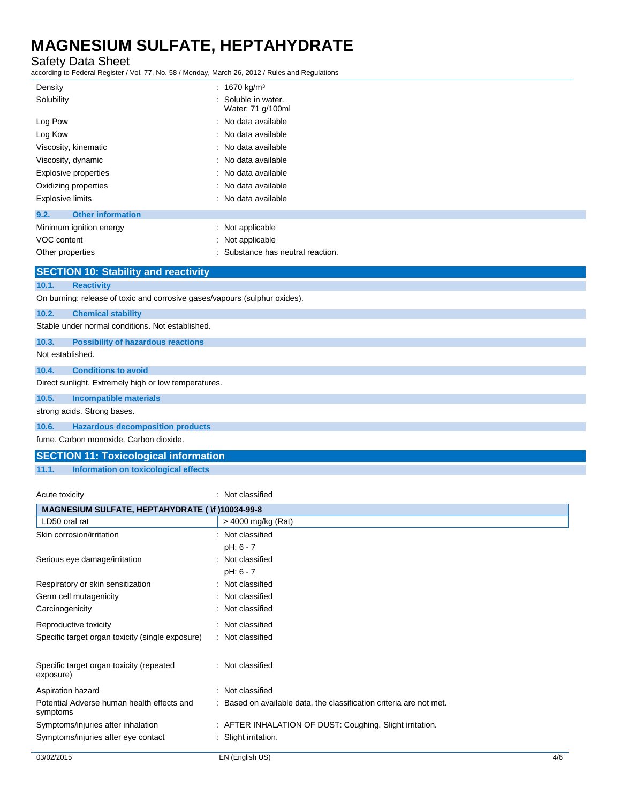## Safety Data Sheet

according to Federal Register / Vol. 77, No. 58 / Monday, March 26, 2012 / Rules and Regulations

| Density                                     | : 1670 kg/m <sup>3</sup>                 |  |  |
|---------------------------------------------|------------------------------------------|--|--|
| Solubility                                  | : Soluble in water.<br>Water: 71 g/100ml |  |  |
| Log Pow                                     | : No data available                      |  |  |
| Log Kow                                     | : No data available                      |  |  |
| Viscosity, kinematic                        | : No data available                      |  |  |
| Viscosity, dynamic                          | : No data available                      |  |  |
| Explosive properties                        | : No data available                      |  |  |
| Oxidizing properties                        | : No data available                      |  |  |
| <b>Explosive limits</b>                     | : No data available                      |  |  |
| <b>Other information</b><br>9.2.            |                                          |  |  |
| Minimum ignition energy                     | : Not applicable                         |  |  |
| VOC content                                 | : Not applicable                         |  |  |
| Other properties                            | : Substance has neutral reaction.        |  |  |
| <b>SECTION 10: Stability and reactivity</b> |                                          |  |  |

|                  | $\overline{0}$ . The state of the section of $\overline{0}$                |
|------------------|----------------------------------------------------------------------------|
| 10.1.            | <b>Reactivity</b>                                                          |
|                  | On burning: release of toxic and corrosive gases/vapours (sulphur oxides). |
| 10.2.            | <b>Chemical stability</b>                                                  |
|                  | Stable under normal conditions. Not established.                           |
| 10.3.            | <b>Possibility of hazardous reactions</b>                                  |
| Not established. |                                                                            |
| 10.4.            | <b>Conditions to avoid</b>                                                 |
|                  | Direct sunlight. Extremely high or low temperatures.                       |
| 10.5.            | <b>Incompatible materials</b>                                              |
|                  | strong acids. Strong bases.                                                |
| 10.6.            | <b>Hazardous decomposition products</b>                                    |
|                  | fume. Carbon monoxide. Carbon dioxide.                                     |

## **SECTION 11: Toxicological information**

**11.1. Information on toxicological effects**

Acute toxicity **in the case of the CALIC CONTEX Not classified** : Not classified

| MAGNESIUM SULFATE, HEPTAHYDRATE ( \f )10034-99-8       |                                                                     |     |
|--------------------------------------------------------|---------------------------------------------------------------------|-----|
| LD50 oral rat                                          | > 4000 mg/kg (Rat)                                                  |     |
| Skin corrosion/irritation                              | : Not classified                                                    |     |
|                                                        | pH: 6 - 7                                                           |     |
| Serious eye damage/irritation                          | : Not classified                                                    |     |
|                                                        | pH: 6 - 7                                                           |     |
| Respiratory or skin sensitization                      | : Not classified                                                    |     |
| Germ cell mutagenicity                                 | : Not classified                                                    |     |
| Carcinogenicity                                        | : Not classified                                                    |     |
| Reproductive toxicity                                  | : Not classified                                                    |     |
| Specific target organ toxicity (single exposure)       | : Not classified                                                    |     |
| Specific target organ toxicity (repeated<br>exposure)  | : Not classified                                                    |     |
| Aspiration hazard                                      | : Not classified                                                    |     |
| Potential Adverse human health effects and<br>symptoms | : Based on available data, the classification criteria are not met. |     |
| Symptoms/injuries after inhalation                     | : AFTER INHALATION OF DUST: Coughing. Slight irritation.            |     |
| Symptoms/injuries after eye contact                    | : Slight irritation.                                                |     |
| 03/02/2015                                             | EN (English US)                                                     | 4/6 |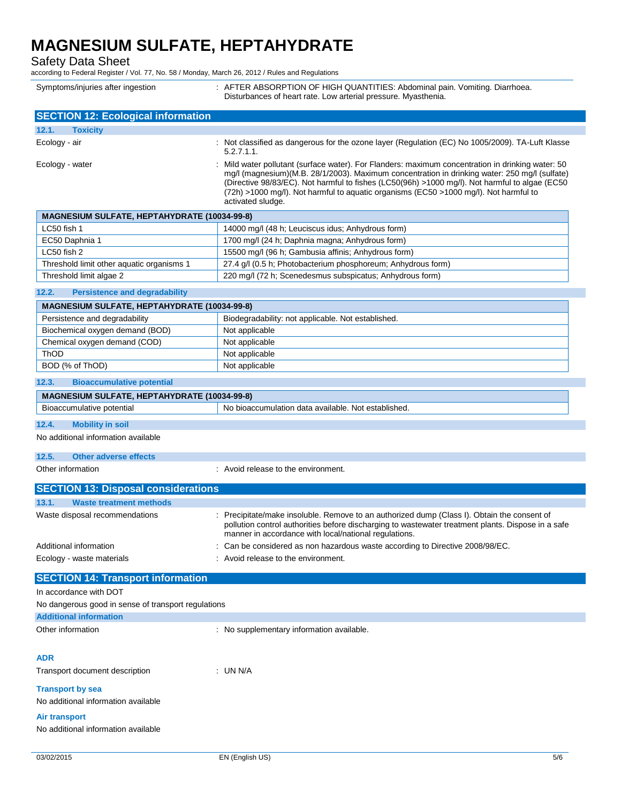Safety Data Sheet

according to Federal Register / Vol. 77, No. 58 / Monday, March 26, 2012 / Rules and Regulations

| Symptoms/injuries after ingestion | : AFTER ABSORPTION OF HIGH QUANTITIES: Abdominal pain. Vomiting. Diarrhoea. |
|-----------------------------------|-----------------------------------------------------------------------------|
|                                   | Disturbances of heart rate. Low arterial pressure. Myasthenia.              |

| <b>SECTION 12: Ecological information</b>           |                                                                                                                                                                                                                                                                                                                                                                                                                    |
|-----------------------------------------------------|--------------------------------------------------------------------------------------------------------------------------------------------------------------------------------------------------------------------------------------------------------------------------------------------------------------------------------------------------------------------------------------------------------------------|
| 12.1.<br><b>Toxicity</b>                            |                                                                                                                                                                                                                                                                                                                                                                                                                    |
| Ecology - air                                       | : Not classified as dangerous for the ozone layer (Regulation (EC) No 1005/2009). TA-Luft Klasse<br>$5.2.7.1.1$ .                                                                                                                                                                                                                                                                                                  |
| Ecology - water                                     | : Mild water pollutant (surface water). For Flanders: maximum concentration in drinking water: 50<br>mg/l (magnesium)(M.B. 28/1/2003). Maximum concentration in drinking water: 250 mg/l (sulfate)<br>(Directive 98/83/EC). Not harmful to fishes (LC50(96h) >1000 mg/l). Not harmful to algae (EC50<br>(72h) >1000 mg/l). Not harmful to aquatic organisms (EC50 >1000 mg/l). Not harmful to<br>activated sludge. |
| <b>MAGNESIUM SULFATE, HEPTAHYDRATE (10034-99-8)</b> |                                                                                                                                                                                                                                                                                                                                                                                                                    |
| LC50 fish 1                                         | 14000 mg/l (48 h; Leuciscus idus; Anhydrous form)                                                                                                                                                                                                                                                                                                                                                                  |
| EC50 Daphnia 1                                      | 1700 mg/l (24 h; Daphnia magna; Anhydrous form)                                                                                                                                                                                                                                                                                                                                                                    |
| LC50 fish 2                                         | 15500 mg/l (96 h; Gambusia affinis; Anhydrous form)                                                                                                                                                                                                                                                                                                                                                                |

### **12.2. Persistence and degradability**

| <b>MAGNESIUM SULFATE, HEPTAHYDRATE (10034-99-8)</b> |                                                    |  |
|-----------------------------------------------------|----------------------------------------------------|--|
| Persistence and degradability                       | Biodegradability: not applicable. Not established. |  |
| Biochemical oxygen demand (BOD)                     | Not applicable                                     |  |
| Chemical oxygen demand (COD)                        | Not applicable                                     |  |
| ThOD                                                | Not applicable                                     |  |
| BOD (% of ThOD)                                     | Not applicable                                     |  |

Threshold limit other aquatic organisms 1 27.4 g/l (0.5 h; Photobacterium phosphoreum; Anhydrous form) Threshold limit algae 2 220 mg/l (72 h; Scenedesmus subspicatus; Anhydrous form)

#### **12.3. Bioaccumulative potential**

| . HEPTAHY'<br>ESIUM<br>$(10034 - 99 - 8)$<br>МA<br>GNF<br><b>TURATE</b><br>"SUL.<br>-AIE |                                                                          |
|------------------------------------------------------------------------------------------|--------------------------------------------------------------------------|
| ∽<br>Bioa<br>notentia.<br>ccumulative                                                    | * established.<br>- No b.<br>oaccumulation<br>∟available.<br>Not<br>data |

### **12.4. Mobility in soil**

No additional information available

#### **12.5. Other adverse effects**

Other information **in the environment.** Avoid release to the environment.

| <b>SECTION 13: Disposal considerations</b> |                                                     |                                                                                                                                                                                                                                                            |  |  |
|--------------------------------------------|-----------------------------------------------------|------------------------------------------------------------------------------------------------------------------------------------------------------------------------------------------------------------------------------------------------------------|--|--|
| 13.1.                                      | <b>Waste treatment methods</b>                      |                                                                                                                                                                                                                                                            |  |  |
|                                            | Waste disposal recommendations                      | : Precipitate/make insoluble. Remove to an authorized dump (Class I). Obtain the consent of<br>pollution control authorities before discharging to wastewater treatment plants. Dispose in a safe<br>manner in accordance with local/national regulations. |  |  |
|                                            | Additional information<br>Ecology - waste materials | : Can be considered as non hazardous waste according to Directive 2008/98/EC.<br>: Avoid release to the environment.                                                                                                                                       |  |  |
|                                            |                                                     |                                                                                                                                                                                                                                                            |  |  |

## **SECTION 14: Transport information**

In accordance with DOT No dangerous good in sense of transport regulations

| no dangoroas good in sonso or transport regulations. |  |
|------------------------------------------------------|--|
| <b>Additional information</b>                        |  |

Other information **contracts** : No supplementary information available.

#### **ADR**

Transport document description : UN N/A

#### **Transport by sea**

No additional information available

#### **Air transport**

No additional information available